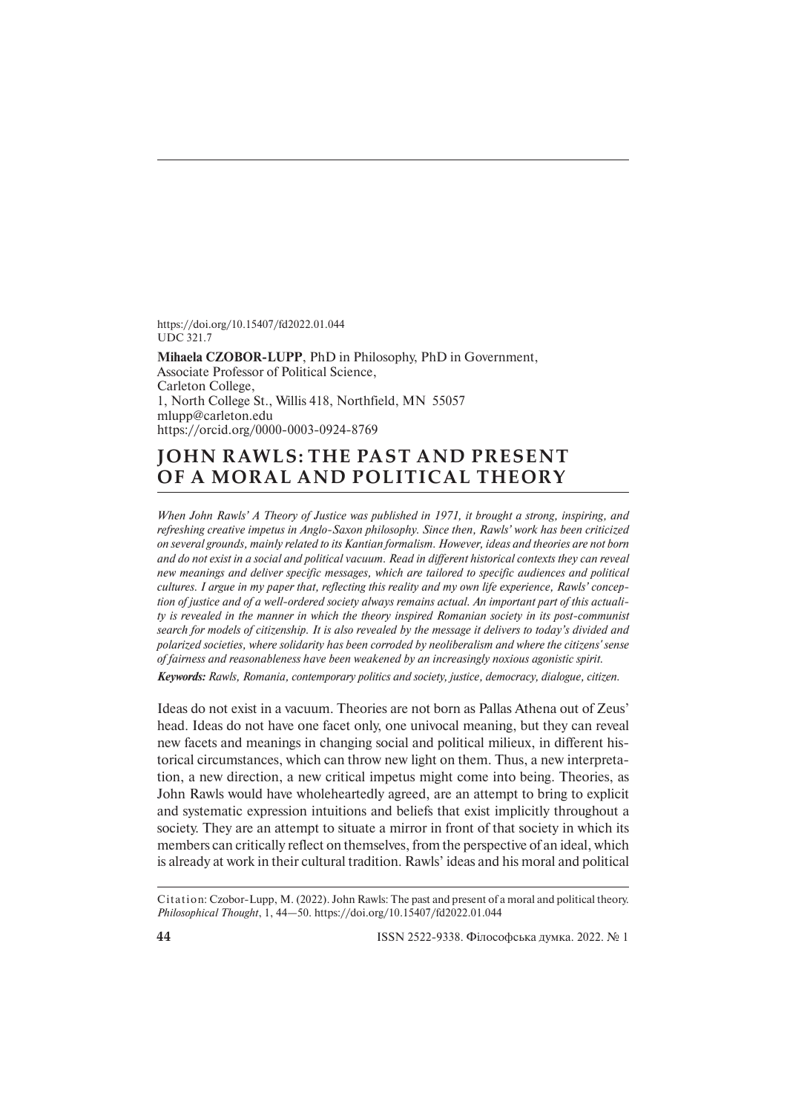https://doi.org/10.15407/fd2022.01.044 UDC 321.7

**Mihaela CZOBOR-LUPP**, PhD in Philosophy, PhD in Government, Associate Professor of Political Science, Carleton College, 1, North College St., Willis 418, Northfield, MN 55057 mlupp@carleton.edu https://orcid.org/0000-0003-0924-8769

## **JOHN RAWLS: THE PAST AND PRESENT OF A MORAL AND POLITICAL THEORY**

*When John Rawls' A Theory of Justice was published in 1971, it brought a strong, inspiring, and refreshing creative impetus in Anglo-Saxon philosophy. Since then, Rawls' work has been criticized on several grounds, mainly related to its Kantian formalism. However, ideas and theories are not born and do not exist in a social and political vacuum. Read in different historical contexts they can reveal new meanings and deliver specific messages, which are tailored to specific audiences and political cultures. I argue in my paper that, reflecting this reality and my own life experience, Rawls' conception of justice and of a well-ordered society always remains actual. An important part of this actuality is revealed in the manner in which the theory inspired Romanian society in its post-communist search for models of citizenship. It is also revealed by the message it delivers to today's divided and polarized societies, where solidarity has been corroded by neoliberalism and where the citizens' sense of fairness and reasonableness have been weakened by an increasingly noxious agonistic spirit.*

*Keywords: Rawls, Romania, contemporary politics and society, justice, democracy, dialogue, citizen.*

Ideas do not exist in a vacuum. Theories are not born as Pallas Athena out of Zeus' head. Ideas do not have one facet only, one univocal meaning, but they can reveal new facets and meanings in changing social and political milieux, in different historical circumstances, which can throw new light on them. Thus, a new interpretation, a new direction, a new critical impetus might come into being. Theories, as John Rawls would have wholeheartedly agreed, are an attempt to bring to explicit and systematic expression intuitions and beliefs that exist implicitly throughout a society. They are an attempt to situate a mirror in front of that society in which its members can critically reflect on themselves, from the perspective of an ideal, which is already at work in their cultural tradition. Rawls' ideas and his moral and political

Citation: Czobor-Lupp, M. (2022). John Rawls: The past and present of a moral and political theory. *Philosophical Thought*, 1, 44—50. https://doi.org/10.15407/fd2022.01.044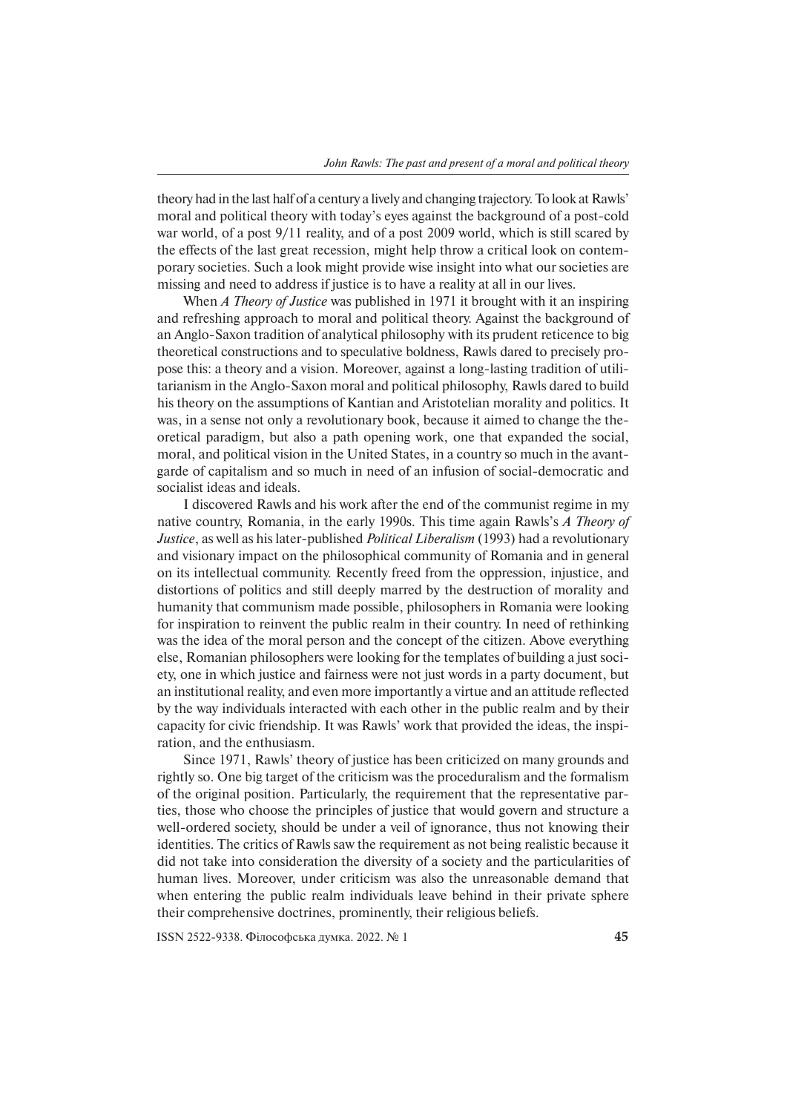theory had in the last half of a century a lively and changing trajectory. To look at Rawls' moral and political theory with today's eyes against the background of a post- cold war world, of a post 9/11 reality, and of a post 2009 world, which is still scared by the effects of the last great recession, might help throw a critical look on contemporary societies. Such a look might provide wise insight into what our societies are missing and need to address if justice is to have a reality at all in our lives.

When *A Theory of Justice* was published in 1971 it brought with it an inspiring and refreshing approach to moral and political theory. Against the background of an Anglo-Saxon tradition of analytical philosophy with its prudent reticence to big theoretical constructions and to speculative boldness, Rawls dared to precisely propose this: a theory and a vision. Moreover, against a long-lasting tradition of utilitarianism in the Anglo-Saxon moral and political philosophy, Rawls dared to build his theory on the assumptions of Kantian and Aristotelian morality and politics. It was, in a sense not only a revolutionary book, because it aimed to change the theoretical paradigm, but also a path opening work, one that expanded the social, moral, and political vision in the United States, in a country so much in the avantgarde of capitalism and so much in need of an infusion of social-democratic and socialist ideas and ideals.

I discovered Rawls and his work after the end of the communist regime in my native country, Romania, in the early 1990s. This time again Rawls's *A Theory of Jus tice*, as well as his later-published *Political Liberalism* (1993) had a revolutionary and visionary impact on the philosophical community of Romania and in general on its intellectual community. Recently freed from the oppression, injustice, and distortions of politics and still deeply marred by the destruction of morality and humanity that communism made possible, philosophers in Romania were looking for inspiration to reinvent the public realm in their country. In need of rethinking was the idea of the moral person and the concept of the citizen. Above everything else, Romanian philosophers were looking for the templates of building a just society, one in which justice and fairness were not just words in a party document, but an institutional reality, and even more importantly a virtue and an attitude reflected by the way individuals interacted with each other in the public realm and by their capacity for civic friendship. It was Rawls' work that provided the ideas, the inspiration, and the enthusiasm.

Since 1971, Rawls' theory of justice has been criticized on many grounds and rightly so. One big target of the criticism was the proceduralism and the formalism of the original position. Particularly, the requirement that the representative parties, those who choose the principles of justice that would govern and structure a well-ordered society, should be under a veil of ignorance, thus not knowing their identities. The critics of Rawls saw the requirement as not being realistic because it did not take into consideration the diversity of a society and the particularities of human lives. Moreover, under criticism was also the unreasonable demand that when entering the public realm individuals leave behind in their private sphere their comprehensive doctrines, prominently, their religious beliefs.

ISSN 2522-9338. Філософська думка. 2022. № 1 **45**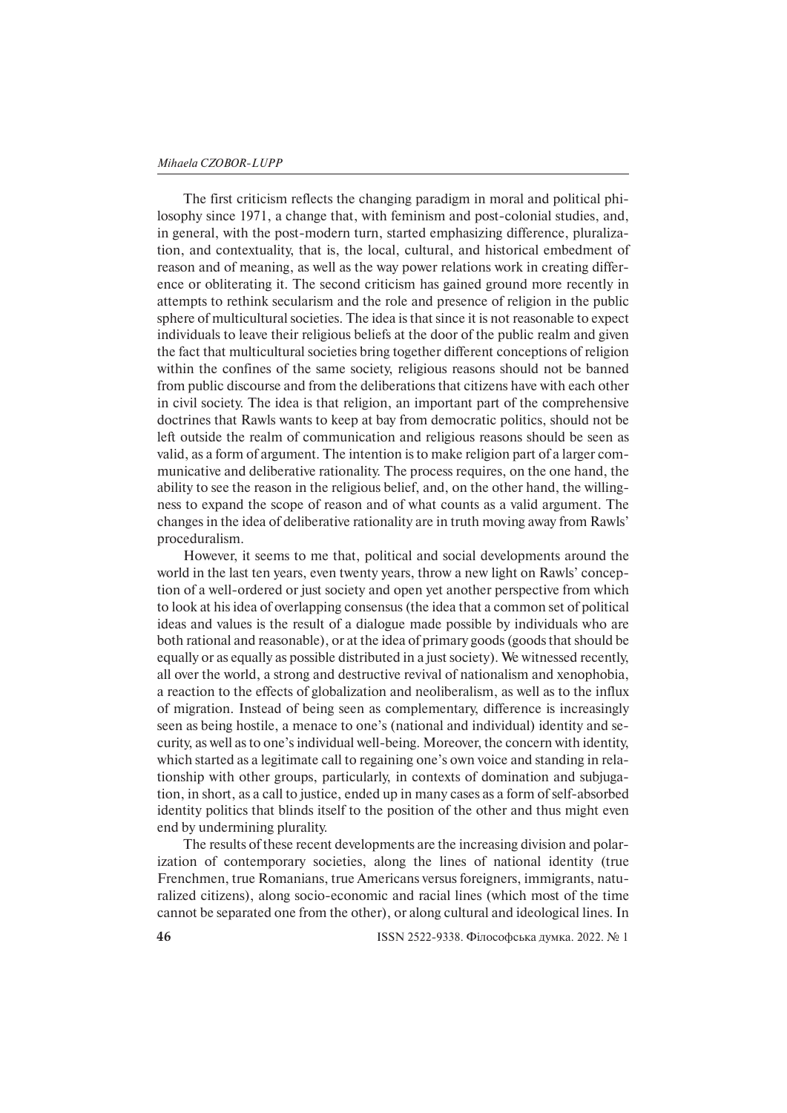The first criticism reflects the changing paradigm in moral and political philosophy since 1971, a change that, with feminism and post-colonial studies, and, in general, with the post-modern turn, started emphasizing difference, pluralization, and contextuality, that is, the local, cultural, and historical embedment of reason and of meaning, as well as the way power relations work in creating difference or obliterating it. The second criticism has gained ground more recently in attempts to rethink secularism and the role and presence of religion in the public sphere of multicultural societies. The idea is that since it is not reasonable to expect individuals to leave their religious beliefs at the door of the public realm and given the fact that multicultural societies bring together different conceptions of religion within the confines of the same society, religious reasons should not be banned from public discourse and from the deliberations that citizens have with each other in civil society. The idea is that religion, an important part of the comprehensive doctrines that Rawls wants to keep at bay from democratic politics, should not be left outside the realm of communication and religious reasons should be seen as valid, as a form of argument. The intention is to make religion part of a larger communicative and deliberative rationality. The process requires, on the one hand, the ability to see the reason in the religious belief, and, on the other hand, the willingness to expand the scope of reason and of what counts as a valid argument. The changes in the idea of deliberative rationality are in truth moving away from Rawls' proceduralism.

However, it seems to me that, political and social developments around the world in the last ten years, even twenty years, throw a new light on Rawls' conception of a well-ordered or just society and open yet another perspective from which to look at his idea of overlapping consensus (the idea that a common set of political ideas and values is the result of a dialogue made possible by individuals who are both rational and reasonable), or at the idea of primary goods (goods that should be equally or as equally as possible distributed in a just society). We witnessed recently, all over the world, a strong and destructive revival of nationalism and xenophobia, a reaction to the effects of globalization and neoliberalism, as well as to the influx of migration. Instead of being seen as complementary, difference is increasingly seen as being hostile, a menace to one's (national and individual) identity and security, as well as to one's individual well-being. Moreover, the concern with identity, which started as a legitimate call to regaining one's own voice and standing in relationship with other groups, particularly, in contexts of domination and subjugation, in short, as a call to justice, ended up in many cases as a form of self-absorbed identity politics that blinds itself to the position of the other and thus might even end by undermining plurality.

The results of these recent developments are the increasing division and polarization of contemporary societies, along the lines of national identity (true Frenchmen, true Romanians, true Americans versus foreigners, immigrants, naturalized citizens), along socio-economic and racial lines (which most of the time cannot be separated one from the other), or along cultural and ideological lines. In

**46** ISSN 2522-9338. Філософська думка. 2022. № 1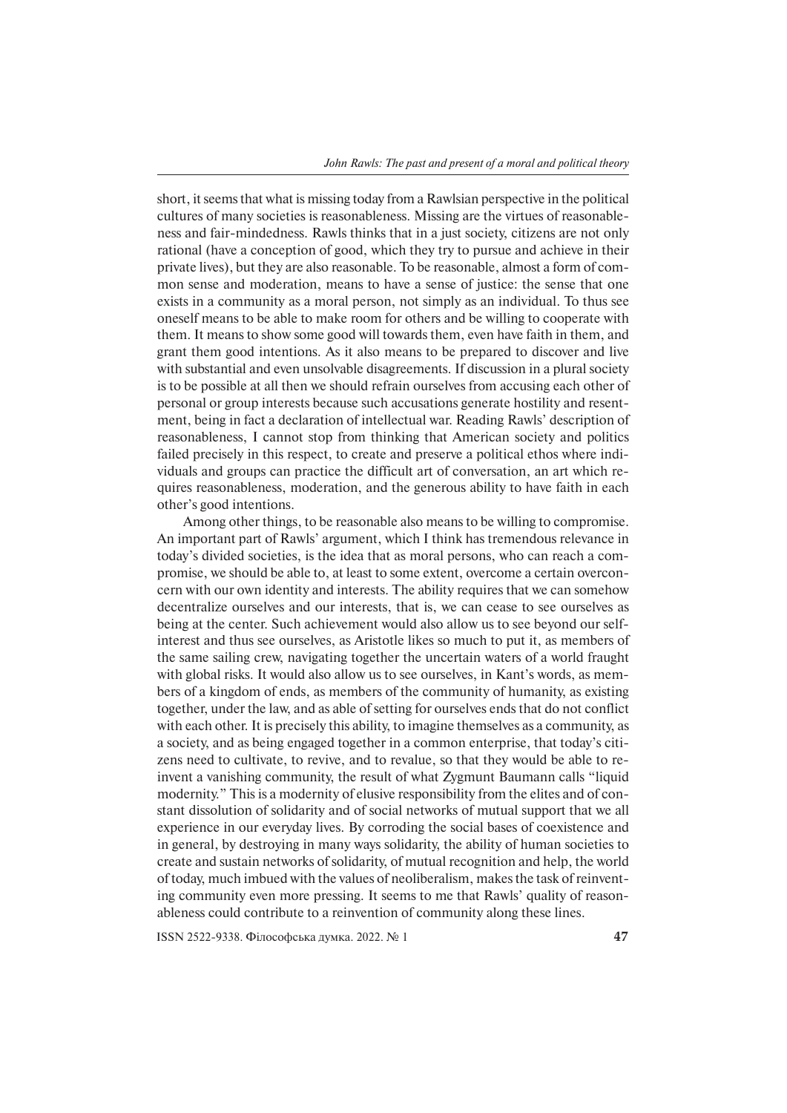short, it seems that what is missing today from a Rawlsian perspective in the political cultures of many societies is reasonableness. Missing are the virtues of reasonableness and fair-mindedness. Rawls thinks that in a just society, citizens are not only rational (have a conception of good, which they try to pursue and achieve in their private lives), but they are also reasonable. To be reasonable, almost a form of common sense and moderation, means to have a sense of justice: the sense that one exists in a community as a moral person, not simply as an individual. To thus see oneself means to be able to make room for others and be willing to cooperate with them. It means to show some good will towards them, even have faith in them, and grant them good intentions. As it also means to be prepared to discover and live with substantial and even unsolvable disagreements. If discussion in a plural society is to be possible at all then we should refrain ourselves from accusing each other of personal or group interests because such accusations generate hostility and resentment, being in fact a declaration of intellectual war. Reading Rawls' description of reasonableness, I cannot stop from thinking that American society and politics failed precisely in this respect, to create and preserve a political ethos where individuals and groups can practice the difficult art of conversation, an art which requires reasonableness, moderation, and the generous ability to have faith in each other's good intentions.

Among other things, to be reasonable also means to be willing to compromise. An important part of Rawls' argument, which I think has tremendous relevance in today's divided societies, is the idea that as moral persons, who can reach a compromise, we should be able to, at least to some extent, overcome a certain overconcern with our own identity and interests. The ability requires that we can somehow decentralize ourselves and our interests, that is, we can cease to see ourselves as being at the center. Such achievement would also allow us to see beyond our selfinterest and thus see ourselves, as Aristotle likes so much to put it, as members of the same sailing crew, navigating together the uncertain waters of a world fraught with global risks. It would also allow us to see ourselves, in Kant's words, as members of a kingdom of ends, as members of the community of humanity, as existing together, under the law, and as able of setting for ourselves ends that do not conflict with each other. It is precisely this ability, to imagine themselves as a community, as a society, and as being engaged together in a common enterprise, that today's citizens need to cultivate, to revive, and to revalue, so that they would be able to reinvent a vanishing community, the result of what Zygmunt Baumann calls "liquid modernity." This is a modernity of elusive responsibility from the elites and of constant dissolution of solidarity and of social networks of mutual support that we all experience in our everyday lives. By corroding the social bases of coexistence and in general, by destroying in many ways solidarity, the ability of human societies to create and sustain networks of solidarity, of mutual recognition and help, the world of today, much imbued with the values of neoliberalism, makes the task of reinventing community even more pressing. It seems to me that Rawls' quality of reasonableness could contribute to a reinvention of community along these lines.

ISSN 2522-9338. Філософська думка. 2022. № 1 **47**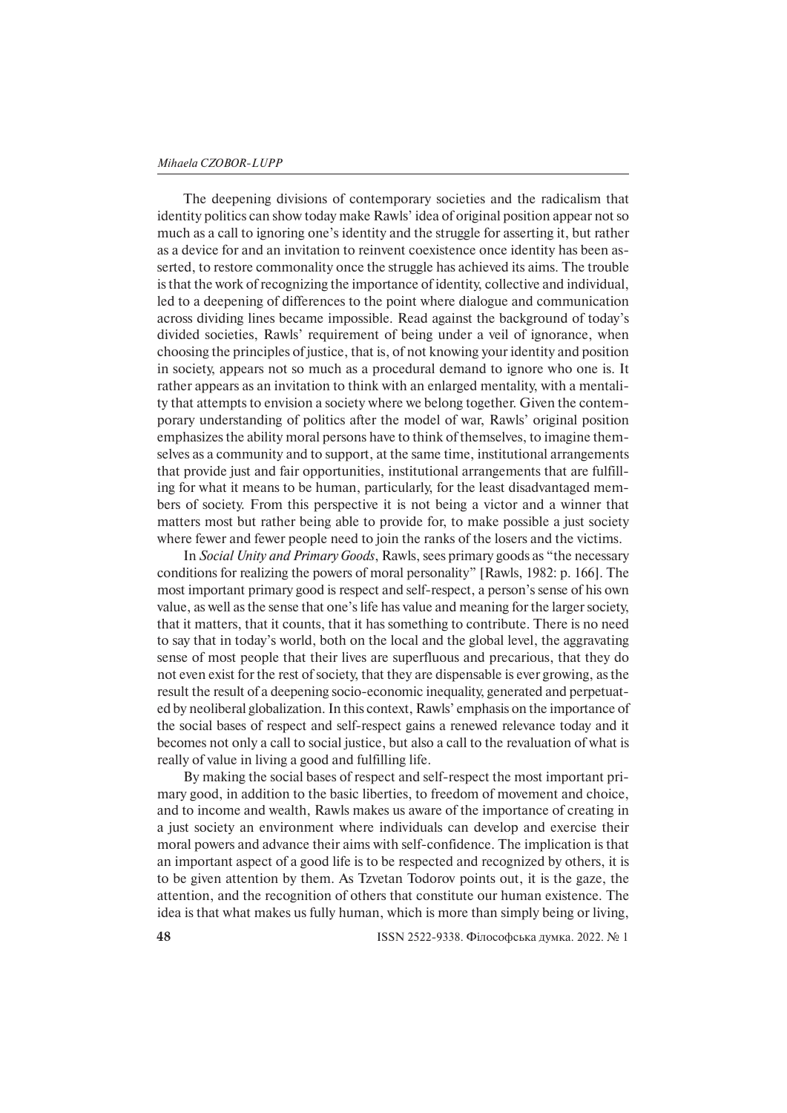The deepening divisions of contemporary societies and the radicalism that identity politics can show today make Rawls' idea of original position appear not so much as a call to ignoring one's identity and the struggle for asserting it, but rather as a device for and an invitation to reinvent coexistence once identity has been asserted, to restore commonality once the struggle has achieved its aims. The trouble is that the work of recognizing the importance of identity, collective and individual, led to a deepening of differences to the point where dialogue and communication across dividing lines became impossible. Read against the background of today's divided societies, Rawls' requirement of being under a veil of ignorance, when choosing the principles of justice, that is, of not knowing your identity and position in society, appears not so much as a procedural demand to ignore who one is. It rather appears as an invitation to think with an enlarged mentality, with a mentality that attempts to envision a society where we belong together. Given the contemporary understanding of politics after the model of war, Rawls' original position emphasizes the ability moral persons have to think of themselves, to imagine themselves as a community and to support, at the same time, institutional arrangements that provide just and fair opportunities, institutional arrangements that are fulfilling for what it means to be human, particularly, for the least disadvantaged members of society. From this perspective it is not being a victor and a winner that matters most but rather being able to provide for, to make possible a just society where fewer and fewer people need to join the ranks of the losers and the victims.

In *Social Unity and Primary Goods*, Rawls, sees primary goods as "the necessary con ditions for realizing the powers of moral personality" [Rawls, 1982: p. 166]. The most important primary good is respect and self-respect, a person's sense of his own value, as well as the sense that one's life has value and meaning for the larger society, that it matters, that it counts, that it has something to contribute. There is no need to say that in today's world, both on the local and the global level, the aggravating sense of most people that their lives are superfluous and precarious, that they do not even exist for the rest of society, that they are dispensable is ever growing, as the result the result of a deepening socio-economic inequality, generated and perpetuated by neoliberal globalization. In this context, Rawls' emphasis on the importance of the so cial bases of respect and self-respect gains a renewed relevance today and it becomes not only a call to social justice, but also a call to the revaluation of what is really of value in living a good and fulfilling life.

By making the social bases of respect and self-respect the most important primary good, in addition to the basic liberties, to freedom of movement and choice, and to income and wealth, Rawls makes us aware of the importance of creating in a just society an environment where individuals can develop and exercise their moral powers and advance their aims with self-confidence. The implication is that an important aspect of a good life is to be respected and recognized by others, it is to be given attention by them. As Tzvetan Todorov points out, it is the gaze, the attention, and the recognition of others that constitute our human existence. The idea is that what makes us fully human, which is more than simply being or living,

**48** ISSN 2522-9338. Філософська думка. 2022. № 1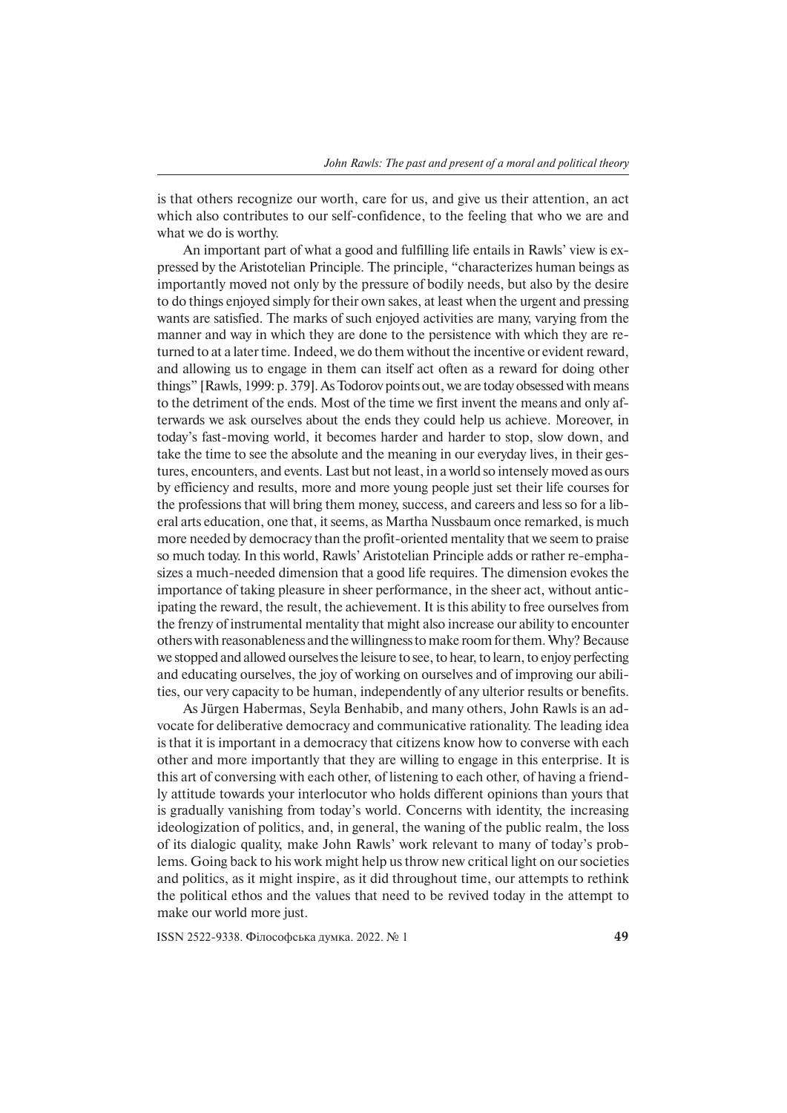is that others recognize our worth, care for us, and give us their attention, an act which also contributes to our self-confidence, to the feeling that who we are and what we do is worthy.

An important part of what a good and fulfilling life entails in Rawls' view is expressed by the Aristotelian Principle. The principle, "characterizes human beings as importantly moved not only by the pressure of bodily needs, but also by the desire to do things enjoyed simply for their own sakes, at least when the urgent and pressing wants are satisfied. The marks of such enjoyed activities are many, varying from the manner and way in which they are done to the persistence with which they are returned to at a later time. Indeed, we do them without the incentive or evident reward, and allowing us to engage in them can itself act often as a reward for doing other things" [Rawls, 1999: p. 379]. As Todorov points out, we are today obsessed with means to the detriment of the ends. Most of the time we first invent the means and only afterwards we ask ourselves about the ends they could help us achieve. Moreover, in today's fast-moving world, it becomes harder and harder to stop, slow down, and take the time to see the absolute and the meaning in our everyday lives, in their gestures, encounters, and events. Last but not least, in a world so intensely moved as ours by efficiency and results, more and more young people just set their life courses for the professions that will bring them money, success, and careers and less so for a liberal arts education, one that, it seems, as Martha Nussbaum once remarked, is much more needed by democracy than the profit-oriented mentality that we seem to praise so much today. In this world, Rawls' Aristotelian Principle adds or rather re-emphasizes a much-needed dimension that a good life requires. The dimension evokes the importance of taking pleasure in sheer performance, in the sheer act, without anticipating the reward, the result, the achievement. It is this ability to free ourselves from the frenzy of instrumental mentality that might also increase our ability to encounter others with reasonableness and the willingness to make room for them. Why? Because we stopped and allowed ourselves the leisure to see, to hear, to learn, to enjoy perfecting and educating ourselves, the joy of working on ourselves and of improving our abilities, our very capacity to be human, independently of any ulterior results or benefits.

As Jürgen Habermas, Seyla Benhabib, and many others, John Rawls is an advocate for deliberative democracy and communicative rationality. The leading idea is that it is important in a democracy that citizens know how to converse with each other and more importantly that they are willing to engage in this enterprise. It is this art of conversing with each other, of listening to each other, of having a friendly attitude towards your interlocutor who holds different opinions than yours that is gradually vanishing from today's world. Concerns with identity, the increasing ideologization of politics, and, in general, the waning of the public realm, the loss of its dialogic quality, make John Rawls' work relevant to many of today's problems. Going back to his work might help us throw new critical light on our societies and politics, as it might inspire, as it did throughout time, our attempts to rethink the political ethos and the values that need to be revived today in the attempt to make our world more just.

ISSN 2522-9338. Філософська думка. 2022. № 1 **49**